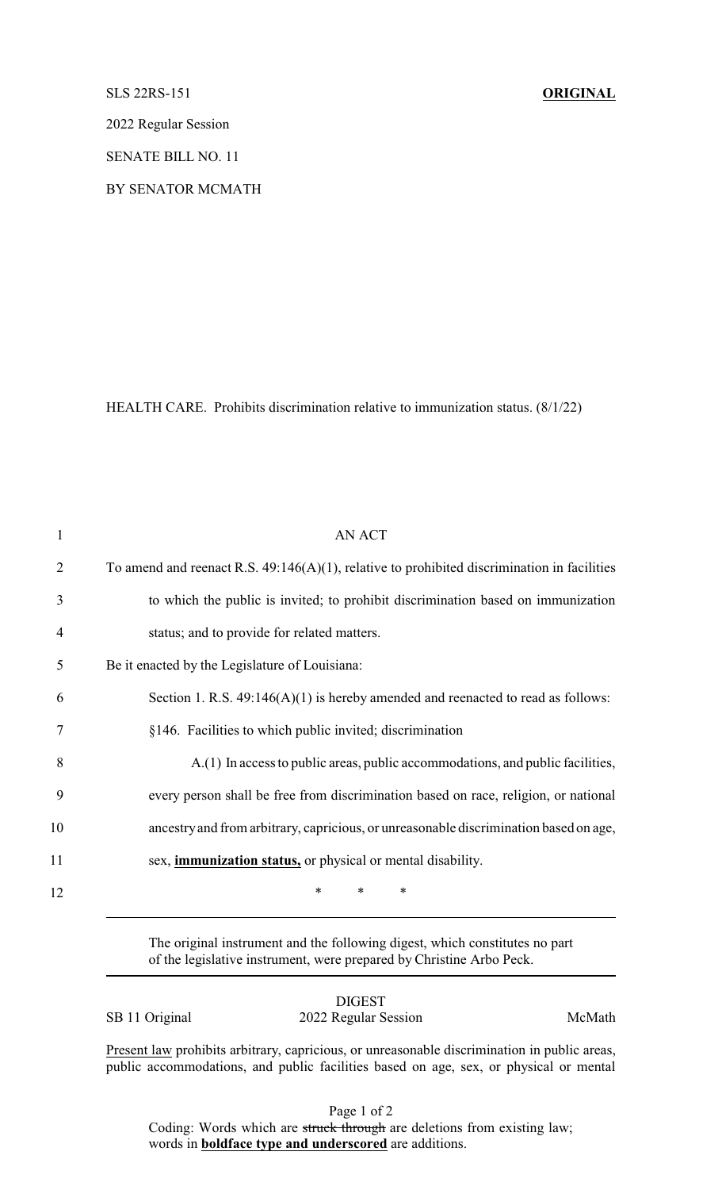## SLS 22RS-151 **ORIGINAL**

2022 Regular Session

SENATE BILL NO. 11

BY SENATOR MCMATH

HEALTH CARE. Prohibits discrimination relative to immunization status. (8/1/22)

| $\mathbf{1}$   | <b>AN ACT</b>                                                                                  |
|----------------|------------------------------------------------------------------------------------------------|
| $\overline{2}$ | To amend and reenact R.S. $49:146(A)(1)$ , relative to prohibited discrimination in facilities |
| 3              | to which the public is invited; to prohibit discrimination based on immunization               |
| $\overline{4}$ | status; and to provide for related matters.                                                    |
| 5              | Be it enacted by the Legislature of Louisiana:                                                 |
| 6              | Section 1. R.S. $49:146(A)(1)$ is hereby amended and reenacted to read as follows:             |
| 7              | §146. Facilities to which public invited; discrimination                                       |
| 8              | A.(1) In access to public areas, public accommodations, and public facilities,                 |
| 9              | every person shall be free from discrimination based on race, religion, or national            |
| 10             | ancestry and from arbitrary, capricious, or unreasonable discrimination based on age,          |
| 11             | sex, <i>immunization status</i> , or physical or mental disability.                            |
| 12             | $\ast$<br>*<br>∗                                                                               |
|                |                                                                                                |

The original instrument and the following digest, which constitutes no part of the legislative instrument, were prepared by Christine Arbo Peck.

SB 11 Original 2022 Regular Session McMath

DIGEST

Present law prohibits arbitrary, capricious, or unreasonable discrimination in public areas, public accommodations, and public facilities based on age, sex, or physical or mental

Page 1 of 2

Coding: Words which are struck through are deletions from existing law; words in **boldface type and underscored** are additions.